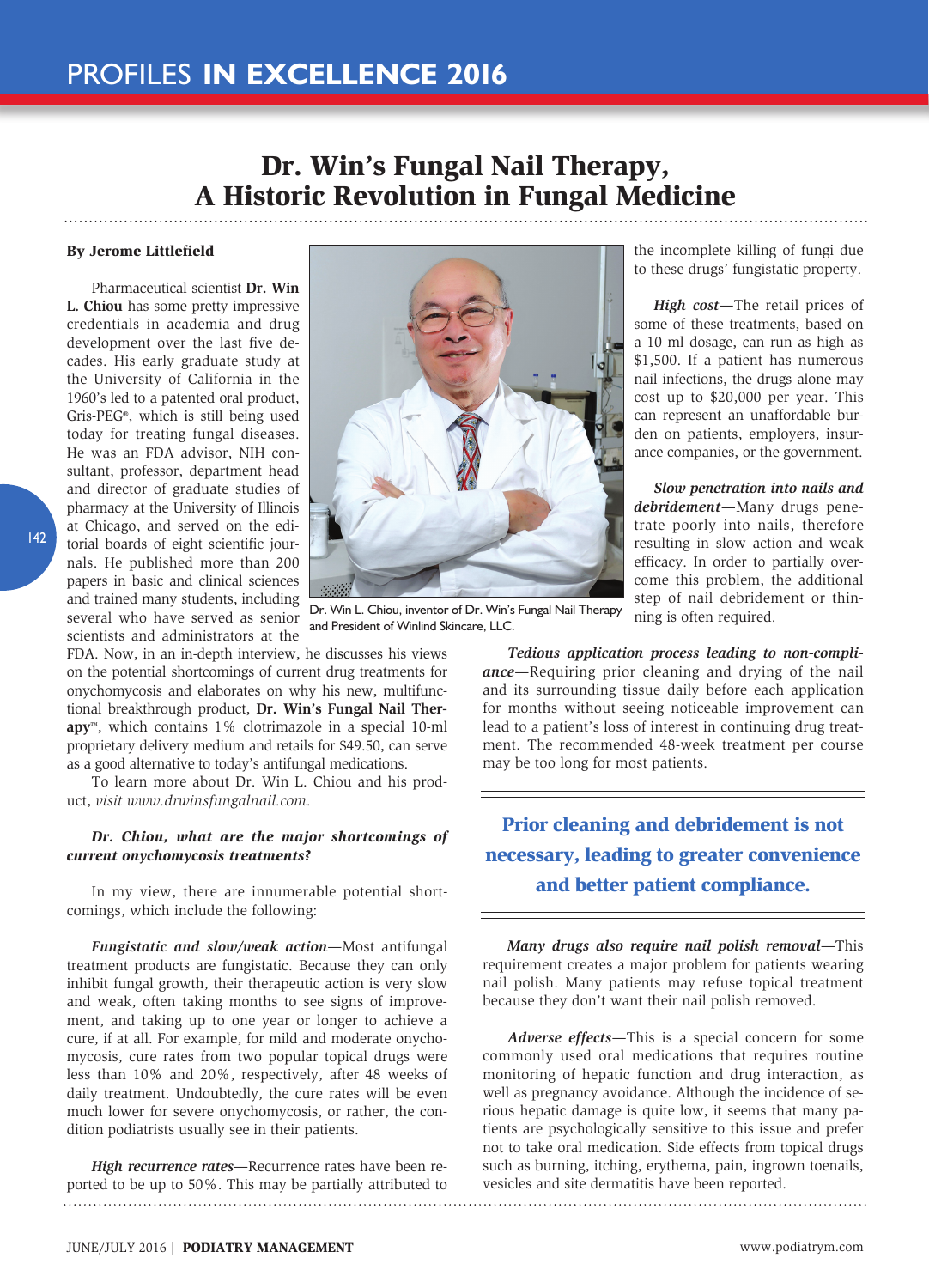# Dr. Win's Fungal Nail Therapy, A Historic Revolution in Fungal Medicine

#### By Jerome Littlefield

Pharmaceutical scientist **Dr. Win L. Chiou** has some pretty impressive credentials in academia and drug development over the last five decades. His early graduate study at the University of California in the 1960's led to a patented oral product, Gris-PEG®, which is still being used today for treating fungal diseases. He was an FDA advisor, NIH consultant, professor, department head and director of graduate studies of pharmacy at the University of Illinois at Chicago, and served on the editorial boards of eight scientific journals. He published more than 200 papers in basic and clinical sciences and trained many students, including several who have served as senior scientists and administrators at the

FDA. Now, in an in-depth interview, he discusses his views on the potential shortcomings of current drug treatments for onychomycosis and elaborates on why his new, multifunctional breakthrough product, **Dr. Win's Fungal Nail Therapy**™, which contains 1% clotrimazole in a special 10-ml proprietary delivery medium and retails for \$49.50, can serve as a good alternative to today's antifungal medications.

To learn more about Dr. Win L. Chiou and his product, *visit www.drwinsfungalnail.com.*

### *Dr. Chiou, what are the major shortcomings of current onychomycosis treatments?*

In my view, there are innumerable potential shortcomings, which include the following:

*Fungistatic and slow/weak action*—Most antifungal treatment products are fungistatic. Because they can only inhibit fungal growth, their therapeutic action is very slow and weak, often taking months to see signs of improvement, and taking up to one year or longer to achieve a cure, if at all. For example, for mild and moderate onychomycosis, cure rates from two popular topical drugs were less than 10% and 20%, respectively, after 48 weeks of daily treatment. Undoubtedly, the cure rates will be even much lower for severe onychomycosis, or rather, the condition podiatrists usually see in their patients.

*High recurrence rates*—Recurrence rates have been reported to be up to 50%. This may be partially attributed to



Dr. Win L. Chiou, inventor of Dr. Win's Fungal Nail Therapy and President of Winlind Skincare, LLC.

the incomplete killing of fungi due to these drugs' fungistatic property.

*High cost*—The retail prices of some of these treatments, based on a 10 ml dosage, can run as high as \$1,500. If a patient has numerous nail infections, the drugs alone may cost up to \$20,000 per year. This can represent an unaffordable burden on patients, employers, insurance companies, or the government.

*Slow penetration into nails and debridement*—Many drugs penetrate poorly into nails, therefore resulting in slow action and weak efficacy. In order to partially overcome this problem, the additional step of nail debridement or thinning is often required.

*Tedious application process leading to non-compliance*—Requiring prior cleaning and drying of the nail and its surrounding tissue daily before each application for months without seeing noticeable improvement can lead to a patient's loss of interest in continuing drug treatment. The recommended 48-week treatment per course may be too long for most patients.

## Prior cleaning and debridement is not necessary, leading to greater convenience and better patient compliance.

*Many drugs also require nail polish removal*—This requirement creates a major problem for patients wearing nail polish. Many patients may refuse topical treatment because they don't want their nail polish removed.

*Adverse effects*—This is a special concern for some commonly used oral medications that requires routine monitoring of hepatic function and drug interaction, as well as pregnancy avoidance. Although the incidence of serious hepatic damage is quite low, it seems that many patients are psychologically sensitive to this issue and prefer not to take oral medication. Side effects from topical drugs such as burning, itching, erythema, pain, ingrown toenails, vesicles and site dermatitis have been reported.